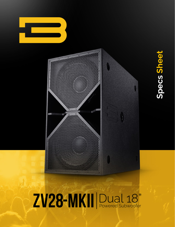



# Specs Sheet **Specs Sheet**

## ZV28-MKII Dual 18"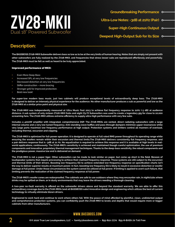

**Deepest High-Output Sub for its Size**

#### **Description:**

**The BASSBOSS ZV28-MKII Subwoofer delivers bass so low as to be at the very limits of human hearing. Notes that are simply not present with other subwoofers are fully realized by the ZV28-MKII, and frequencies that stress lesser subs are reproduced effortlessly and powerfully. The ZV28-MKII must be felt as well as heard to be truly appreciated.** 

#### Improved performance of MKII:

- Even More Deep Bass
- Increased SPL at very low frequencies
- Decreased distortion at very low frequencies
- Stiffer construction more bracing
- Stronger grill for improved protection.
- Bold new look!

**For super-low modern bass music, just two cabinets will produce exceptional levels of extraordinarily deep bass. The ZV28-MKII is designed to deliver an intensely physical experience for the audience. No other manufacturer produces a sub as powerful and low as the ZV28-MKII at a similar price point and physical size.**

**The ZV28-MKII was independently measured at Ultra Music Fest 2013 to achieve flat frequency response to 21Hz (-3 dB) at audience distance. A sub system of only sixteen ZV28-MKII Subs and eight Z5/D Subwoofers was used to create a legendary gig for close to 10,000 screaming fans. The ZV28-MKII utilizes extreme efficiency to supply ultra-high performance with very few subs.** 

**Includes a 4000W amplifier with integrated, comprehensive DSP. The ZV28-MKIIs are vented, direct radiating subwoofers with a large internal volume and a very low tuned frequency. Anti-standing wave baffles and pass-through dampers minimize upper resonances while very large ports maximize low frequency performance at high output. Protection systems and limiters control all manners of overload, including thermal, excursion and clipping.**

**The ZV28-MKII is optimized for full-power operation. It is designed to operate at full rated RMS power throughout its operating range while ensuring the woofers remain within their excursion and thermal limits.The ZV28-MKII delivers consistently flat frequency response, and a pair delivers response that is -3dB at 21 Hz. No equalization is required to achieve this response and it is available at high levels in realworld applications, continuously. The ZV28-MKII's sensitivity is achieved and maintained though careful optimization, the use of premium components and innovative, proprietary thermal management techniques. Thanks to the deep-bass sensitivity, the robust components and the prodigious power, massive low end is delivered on demand.** 

**The ZV28-MKII is not a paper tiger. Other subwoofers can be made to look similar on paper, but come up short in the field. Beware of loudspeaker systems that require processing to achieve their claimed frequency response. Those systems are still subject to the excursion and thermal limits of their drivers. Boosting low frequency EQ to achieve extended low-frequency response on specification charts isn't the way to deliver superior results at maximum power. In fact, boosting low frequency EQ is likely to result in excessive distortion or woofer damage at full power. Under those circumstances the system cannot be utilized at full power. If limiting is applied to avert such failure, that limiting prevents the realization of the claimed frequency response at full power.** 

**The ZV28-MKII's woofer cones are waterproofed. The cabinets are safe to use outdoors where they may encounter rain, in nightclubs where drinks may be spilled on them, or in dusty environments that may leave the drivers needing a thorough cleaning.**

**A two-year no-fault warranty is offered on the subwoofer drivers above and beyond the standard warranty. We are able to offer this extraordinary coverage due to the ZV28-MKIIs (and all BASSBOSS subs) innovative design and engineering which utilizes the best of current technology to virtually eliminate blown drivers.** 

**Engineered to work hard and continue to work where others fail. With the peace of mind afforded by plentiful, clean, undistorted output and comprehensive protection systems, you can confidently push the ZV28-MKII to levels and depths that would require more or bigger cabinets from other manufacturers.**

#### **www.bassboss.com**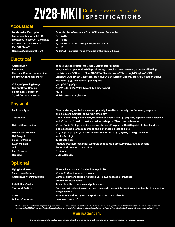### ZV28-MKII Dual 18" Powered Subwoofer

#### **Acoustical**

**Loudspeaker Description: Extended Low-Frequency Dual 18" Powered Subwoofer Frequency Response (±3 dB): 24 – 90 Hz Frequency Response, Pair (±3 dB): 21 – 90 Hz Maximum Sustained Output: 134 dB SPL, 1 meter, half-space (ground plane) Max SPL (Peak)\* 142 dB Nominal Dispersion (H° x V°): 360 x 360 – Cardioid mode available with multiple boxes**

#### **Electrical**

**Amplification: 4000 Watt Continuous RMS Class D Subwoofer Amplifier Processing: Integrated comprehensive DSP provides high pass, low pass, phase alignment and limiting Electrical Connectors, Amplifier: Neutrik powerCON input (Blue) NAC3FCA, Neutrik powerCON through (Grey) NAC3FCA Electrical Connector, Mains: Standard US 3-pin 120V electrical plug: NEMA 5-15 (Edison), Optional electrical plugs available,** 

**Voltage Operating Range: 90-132VAC, 55-65Hz Current Draw, Nominal: 564 W, 4.7A @ 120 Volts (typical, 1/8 max power) Signal Input Connector: XLR-F Signal Output Connector: XLR-M (pass-through only)**

#### **Physical**

| <b>Enclosure Type:</b>       | Direct radiating, vented enclosure, optimally tuned for extremely low frequency response      |  |
|------------------------------|-----------------------------------------------------------------------------------------------|--|
|                              | and excellent electrical conversion efficiency                                                |  |
| <b>Transducer:</b>           | 2 x 18" diameter (457 mm) neodymium motor woofer with 4.5" (115 mm) copper winding voice coil |  |
|                              | and 56 mm (2.2") peak to peak excursion, waterproof fiber composite cone                      |  |
| <b>Cabinet Construction:</b> | 18 mm Baltic Birch plywood, extensively braced. Equipped with 16 flypoints, 8 steel handles,  |  |
|                              | 2 pole sockets, 4 large rubber feet, and 4 interlocking foot pockets                          |  |
| Dimensions (HxWxD):          | 22.5" x 42" x 42" (57.15 cm x 106.68 cm x 106.68 cm) - 23.25" (59.05 cm) high with feet       |  |
| Net Weight:                  | 225 lbs (102 kg)                                                                              |  |
| <b>Shipping Weight:</b>      | 240 lbs (109 kg)                                                                              |  |
| <b>Exterior Finish:</b>      | Rugged, weatherproof, black textured, bonded high-pressure polyurethane coating               |  |
| Grill:                       | Perforated, powder-coated steel                                                               |  |
| <b>Pole Sockets:</b>         | $2(35$ mm $)$                                                                                 |  |
| <b>Handles:</b>              | <b>8 Steel Handles</b>                                                                        |  |
|                              |                                                                                               |  |
| <b>Optional</b>              |                                                                                               |  |
|                              |                                                                                               |  |

**including L5-30 and others, upon request.**

| <b>Flying Hardware:</b>                | Side-pull anchors and/or shoulder eye-bolts                                                                            |
|----------------------------------------|------------------------------------------------------------------------------------------------------------------------|
| <b>Suspension System:</b>              | 16 x 3/8"-16tpi threaded flypoints                                                                                     |
| <b>Amplification for Installation:</b> | Complete power package including DSP in two space rack chassis for<br>permanent installations                          |
| <b>Installation Version:</b>           | Available without handles and pole sockets                                                                             |
| <b>Transport Dollies:</b>              | Dolly cart with 4 locking casters and recesses to accept interlocking cabinet feet for transporting<br>1 to 3 cabinets |
| Covers:                                | Heavy-duty padded nylon transport covers for 1 or 2 cabinets                                                           |
| <b>Online Information:</b>             | bassboss.com/zv28                                                                                                      |

"Peak output is calculated using "industry standard" techniques. These calculation methods create theoretical specifications that are inflated over what can actually be<br>achieved. BASSBOSS real world output specifications a

#### **www.bassboss.com**